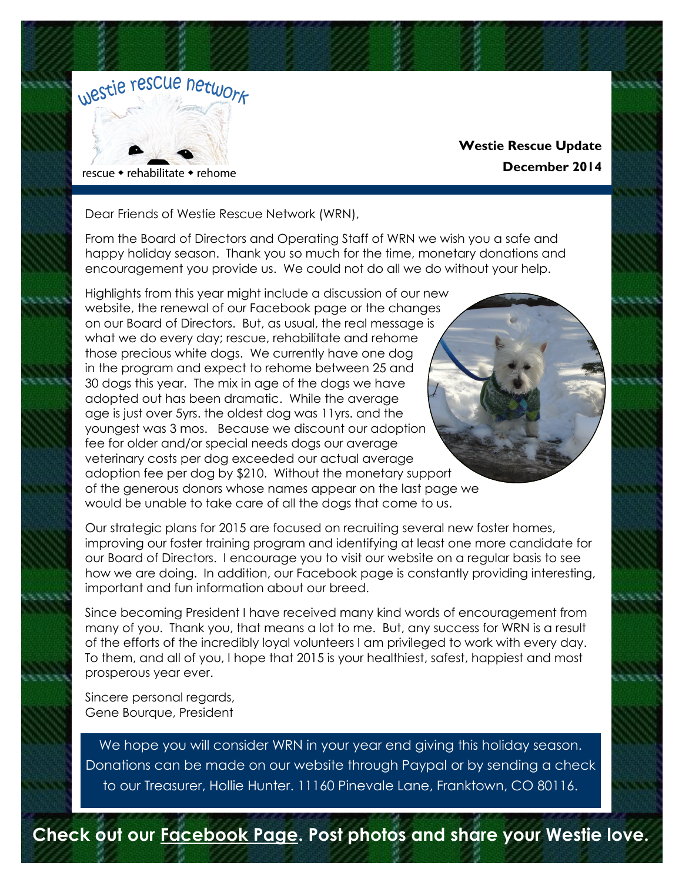

# **Westie Rescue Update December 2014**

Dear Friends of Westie Rescue Network (WRN),

From the Board of Directors and Operating Staff of WRN we wish you a safe and happy holiday season. Thank you so much for the time, monetary donations and encouragement you provide us. We could not do all we do without your help.

Highlights from this year might include a discussion of our new website, the renewal of our Facebook page or the changes on our Board of Directors. But, as usual, the real message is what we do every day; rescue, rehabilitate and rehome those precious white dogs. We currently have one dog in the program and expect to rehome between 25 and 30 dogs this year. The mix in age of the dogs we have adopted out has been dramatic. While the average age is just over 5yrs. the oldest dog was 11yrs. and the youngest was 3 mos. Because we discount our adoption fee for older and/or special needs dogs our average veterinary costs per dog exceeded our actual average adoption fee per dog by \$210. Without the monetary support of the generous donors whose names appear on the last page we would be unable to take care of all the dogs that come to us.

Our strategic plans for 2015 are focused on recruiting several new foster homes, improving our foster training program and identifying at least one more candidate for our Board of Directors. I encourage you to visit our website on a regular basis to see how we are doing. In addition, our Facebook page is constantly providing interesting, important and fun information about our breed.

Since becoming President I have received many kind words of encouragement from many of you. Thank you, that means a lot to me. But, any success for WRN is a result of the efforts of the incredibly loyal volunteers I am privileged to work with every day. To them, and all of you, I hope that 2015 is your healthiest, safest, happiest and most prosperous year ever.

Sincere personal regards, Gene Bourque, President

We hope you will consider WRN in your year end giving this holiday season. Donations can be made on our website through Paypal or by sending a check to our Treasurer, Hollie Hunter. 11160 Pinevale Lane, Franktown, CO 80116.

**Check out our [Facebook Page.](https://www.facebook.com/pages/Westie-Rescue-Network-Inc/127458777343761?sk=wall) Post photos and share your Westie love.**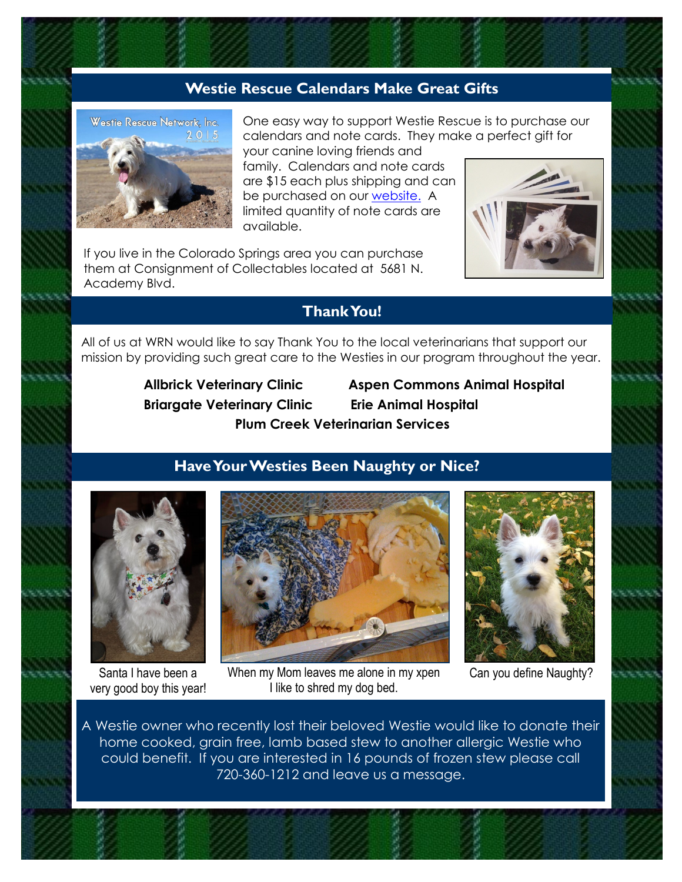# **Westie Rescue Calendars Make Great Gifts**



One easy way to support Westie Rescue is to purchase our calendars and note cards. They make a perfect gift for your canine loving friends and

family. Calendars and note cards are \$15 each plus shipping and can be purchased on our [website.](http://www.westierescuenetwork.org/News/2015-calendar.html) A limited quantity of note cards are available.

If you live in the Colorado Springs area you can purchase them at Consignment of Collectables located at 5681 N. Academy Blvd.



# **Thank You!**

All of us at WRN would like to say Thank You to the local veterinarians that support our mission by providing such great care to the Westies in our program throughout the year.

 **Briargate Veterinary Clinic Erie Animal Hospital** 

 **Allbrick Veterinary Clinic Aspen Commons Animal Hospital Plum Creek Veterinarian Services** 

### **Have Your Westies Been Naughty or Nice?**



Santa I have been a very good boy this year!







Can you define Naughty?

A Westie owner who recently lost their beloved Westie would like to donate their home cooked, grain free, lamb based stew to another allergic Westie who could benefit. If you are interested in 16 pounds of frozen stew please call 720-360-1212 and leave us a message.